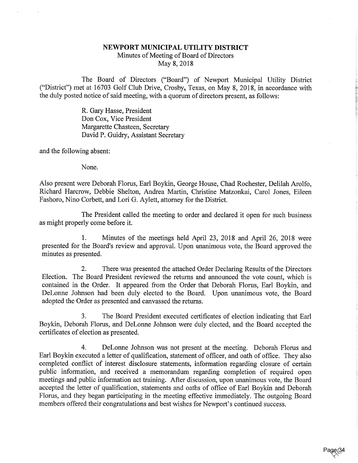## NEWPORT MUNICIPAL UTILITY DISTRICT

Minutes of Meeting of Board of Directors May 8, 2018

The Board of Directors ("Board") of Newport Municipal Utility District ("District") met at 16703 Golf Club Drive, Crosby, Texas, on May 8, 2018, in accordance with the duly posted notice of said meeting, with a quorum of directors present, as follows:

> R. Gary Hasse, President Don Cox, Vice President Margarette Chasteen, Secretary David P. Guidry, Assistant Secretary

and the following absent:

None.

Also present were Deborah Florus, Earl Boykin, George House, Chad Rochester, Delilah Arolfo, Richard Harcrow, Debbie Shelton, Andrea Martin, Christine Matzonkai, Carol Jones, Eileen Fashoro, Nino Corbett, and Lori G. Aylett, attorney for the District.

The President called the meeting to order and declared it open for such business as might properly come before it.

1. Minutes of the meetings held April 23, 2018 and April 26, 2018 were presented for the Board's review and approval. Upon unanimous vote, the Board approved the minutes as presented.

2. There was presented the attached Order Declaring Results of the Directors Election. The Board President reviewed the returns and announced the vote count, which is contained in the Order. It appeared from the Order that Deborah Florus, Earl Boykin, and DeLonne Johnson had been duly elected to the Board. Upon unanimous vote, the Board adopted the Order as presented and canvassed the returns.

3. The Board President executed certificates of election indicating that Earl Boykin, Deborah Floms, and DeLonne Johnson were duly elected, and the Board accepted the certificates of election as presented.

4. DeLonne Johnson was not present at the meeting. Deborah Florus and Earl Boykin executed a letter of qualification, statement of officer, and oath of office. They also completed conflict of interest disclosure statements, information regarding closure of certain public information, and received a memorandum regarding completion of required open meetings and public information act training. After discussion, upon unanimous vote, the Board accepted the letter of qualification, statements and oaths of office of Earl Boykin and Deborah Florus, and they began participating in the meeting effective immediately. The outgoing Board members offered their congratulations and best wishes for Newport's continued success.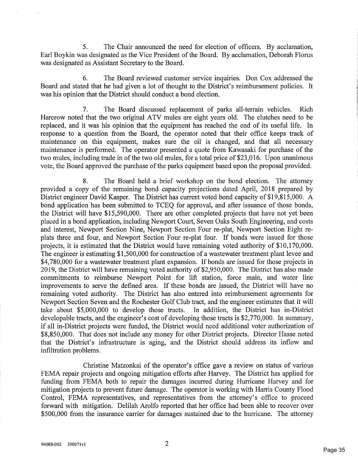5. The Chair announced the need for election of officers. By acclamation, Earl Boykin was designated as the Vice President of the Board. By acclamation, Deborah Floms was designated as Assistant Secretary to the Board.

6. The Board reviewed customer service inquiries. Don Cox addressed the Board and stated that he had given a lot of thought to the District's reimbursement policies. It was his opinion that the District should conduct a bond election.

7. The Board discussed replacement of parks all-terrain vehicles. Rich Harcrow noted that the two original ATV mules are eight years old. The clutches need to be replaced, and it was his opinion that the equipment has reached the end of its useful life. In response to a question from the Board, the operator noted that their office keeps track of maintenance on this equipment, makes sure the oil is changed, and that all necessary maintenance is performed. The operator presented a quote from Kawasaki for purchase of the two mules, including trade in of the two old mules, for a total price of \$23,016. Upon unanimous vote, the Board approved the purchase of the parks equipment based upon the proposal provided.

8. The Board held a brief workshop on the bond election. The attorney provided a copy of the remaining bond capacity projections dated April, 2018 prepared by District engineer David Kasper. The District has current voted bond capacity of \$19,815,000. A bond application has been submitted to TCEQ for approval, and after issuance of those bonds, the District will have \$15,590,000. There are other completed projects that have not yet been placed in a bond application, including Newport Court, Seven Oaks South Engineering, and costs and interest, Newport Section Nine, Newport Section Four re-plat, Newport Section Eight replats three and four, and Newport Section Four re-plat four. If bonds were issued for those projects, it is estimated that the District would have remaining voted authority of \$10,170,000. The engineer is estimating \$1,500,000 for construction of a wastewater treatment plant levee and \$4,780,000 for a wastewater treatment plant expansion. If bonds are issued for those projects in 2019, the District will have remaining voted authority of \$2,950,000. The District has also made commitments to reimburse Newport Point for lift station, force main, and water line improvements to serve the defined area. If these bonds are issued, the District will have no remaining voted authority. The District has also entered into reimbursement agreements for Newport Section Seven and the Rochester Golf Club tract, and the engineer estimates that it will take about \$5,000,000 to develop those tracts. In addition, the District has in-District developable tracts, and the engineer's cost of developing those tracts is \$2,770,000. In summary, if all in-District projects were funded, the District would need additional voter authorization of \$8,850,000. That does not include any money for other District projects. Director Hasse noted that the District's infrastructure is aging, and the District should address its inflow and infiltration problems.

Christine Matzonkai of the operator's office gave a review on status of various FEMA repair projects and ongoing mitigation efforts after Harvey. The District has applied for funding from FEMA both to repair the damages incurred during Hurricane Harvey and for mitigation projects to prevent future damage. The operator is working with Harris County Flood Control, FEMA representatives, and representatives from the attorney's office to proceed forward with mitigation. Delilah Arolfo reported that her office had been able to recover over \$500,000 from the insurance carrier for damages sustained due to the hurricane. The attorney

 $\overline{2}$